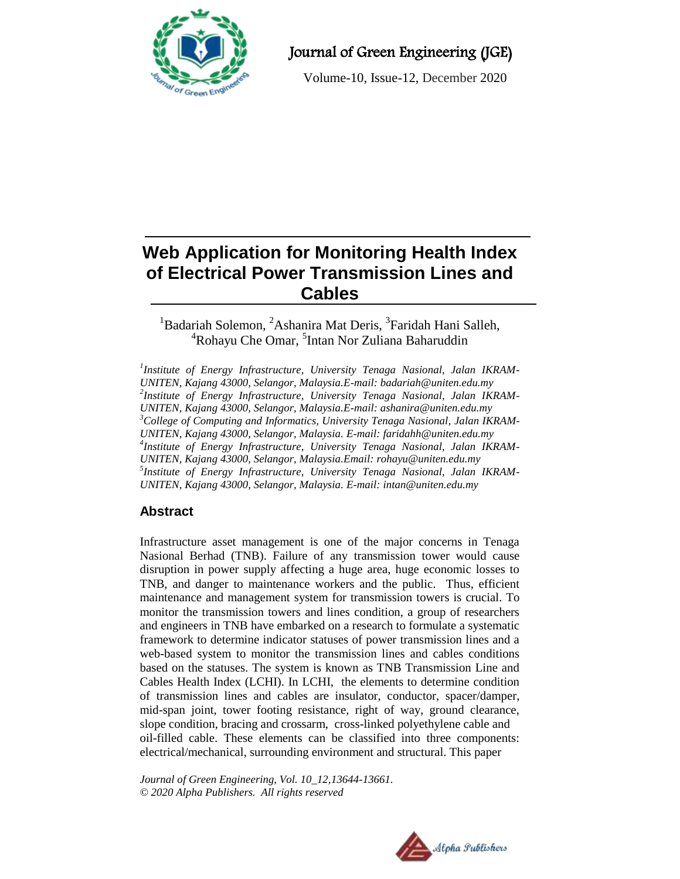

Journal of Green Engineering (JGE)

Volume-10, Issue-12, December 2020

# **Web Application for Monitoring Health Index of Electrical Power Transmission Lines and Cables**

## <sup>1</sup>Badariah Solemon, <sup>2</sup>Ashanira Mat Deris, <sup>3</sup>Faridah Hani Salleh, <sup>4</sup>Rohayu Che Omar, <sup>5</sup>Intan Nor Zuliana Baharuddin

*1 Institute of Energy Infrastructure, University Tenaga Nasional, Jalan IKRAM-UNITEN, Kajang 43000, Selangor, Malaysia.E-mail[: badariah@uniten.edu.my](mailto:badariah@uniten.edu.my) 2 Institute of Energy Infrastructure, University Tenaga Nasional, Jalan IKRAM-UNITEN, Kajang 43000, Selangor, Malaysia.E-mail[: ashanira@uniten.edu.my](mailto:ashanira@uniten.edu.my) <sup>3</sup>College of Computing and Informatics, University Tenaga Nasional, Jalan IKRAM-UNITEN, Kajang 43000, Selangor, Malaysia. E-mail: [faridahh@uniten.edu.my](mailto:faridahh@uniten.edu.my) 4 Institute of Energy Infrastructure, University Tenaga Nasional, Jalan IKRAM-UNITEN, Kajang 43000, Selangor, Malaysia.Email: [rohayu@uniten.edu.my](mailto:rohayu@uniten.edu.my) 5 Institute of Energy Infrastructure, University Tenaga Nasional, Jalan IKRAM-UNITEN, Kajang 43000, Selangor, Malaysia. E-mail: [intan@uniten.edu.my](mailto:intan@uniten.edu.my)*

## **Abstract**

Infrastructure asset management is one of the major concerns in Tenaga Nasional Berhad (TNB). Failure of any transmission tower would cause disruption in power supply affecting a huge area, huge economic losses to TNB, and danger to maintenance workers and the public. Thus, efficient maintenance and management system for transmission towers is crucial. To monitor the transmission towers and lines condition, a group of researchers and engineers in TNB have embarked on a research to formulate a systematic framework to determine indicator statuses of power transmission lines and a web-based system to monitor the transmission lines and cables conditions based on the statuses. The system is known as TNB Transmission Line and Cables Health Index (LCHI). In LCHI, the elements to determine condition of transmission lines and cables are insulator, conductor, spacer/damper, mid-span joint, tower footing resistance, right of way, ground clearance, slope condition, bracing and crossarm, cross-linked polyethylene cable and oil-filled cable. These elements can be classified into three components: electrical/mechanical, surrounding environment and structural. This paper

*Journal of Green Engineering, Vol. 10\_12,13644-13661. © 2020 Alpha Publishers. All rights reserved*

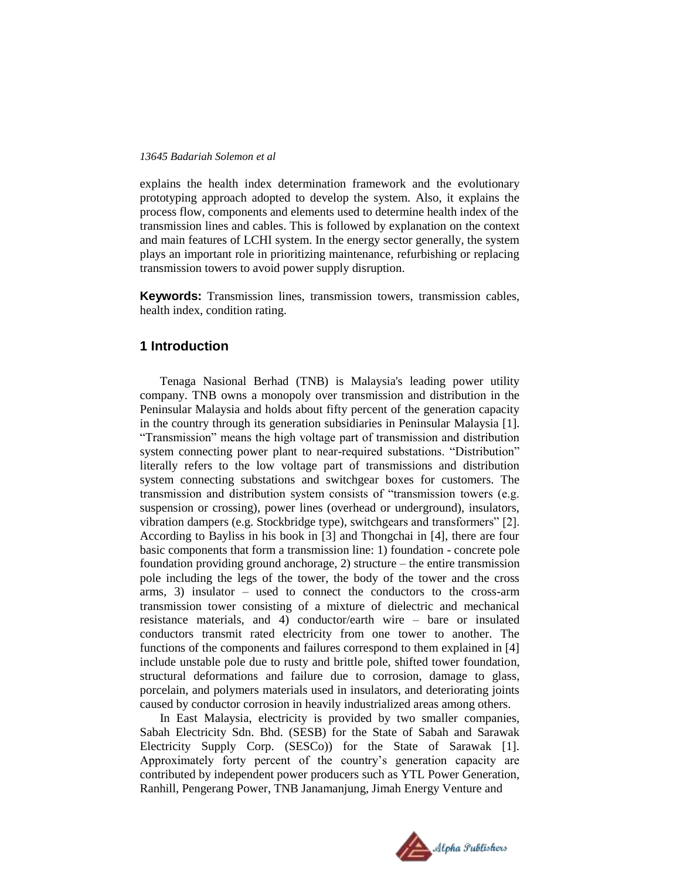explains the health index determination framework and the evolutionary prototyping approach adopted to develop the system. Also, it explains the process flow, components and elements used to determine health index of the transmission lines and cables. This is followed by explanation on the context and main features of LCHI system. In the energy sector generally, the system plays an important role in prioritizing maintenance, refurbishing or replacing transmission towers to avoid power supply disruption.

**Keywords:** Transmission lines, transmission towers, transmission cables, health index, condition rating.

## **1 Introduction**

Tenaga Nasional Berhad (TNB) is Malaysia's leading power utility company. TNB owns a monopoly over transmission and distribution in the Peninsular Malaysia and holds about fifty percent of the generation capacity in the country through its generation subsidiaries in Peninsular Malaysia [1]. ―Transmission‖ means the high voltage part of transmission and distribution system connecting power plant to near-required substations. "Distribution" literally refers to the low voltage part of transmissions and distribution system connecting substations and switchgear boxes for customers. The transmission and distribution system consists of "transmission towers (e.g. suspension or crossing), power lines (overhead or underground), insulators, vibration dampers (e.g. Stockbridge type), switchgears and transformers" [2]. According to Bayliss in his book in [3] and Thongchai in [4], there are four basic components that form a transmission line: 1) foundation - concrete pole foundation providing ground anchorage, 2) structure – the entire transmission pole including the legs of the tower, the body of the tower and the cross arms, 3) insulator – used to connect the conductors to the cross-arm transmission tower consisting of a mixture of dielectric and mechanical resistance materials, and 4) conductor/earth wire – bare or insulated conductors transmit rated electricity from one tower to another. The functions of the components and failures correspond to them explained in [4] include unstable pole due to rusty and brittle pole, shifted tower foundation, structural deformations and failure due to corrosion, damage to glass, porcelain, and polymers materials used in insulators, and deteriorating joints caused by conductor corrosion in heavily industrialized areas among others.

In East Malaysia, electricity is provided by two smaller companies, Sabah Electricity Sdn. Bhd. (SESB) for the State of Sabah and Sarawak Electricity Supply Corp. (SESCo)) for the State of Sarawak [1]. Approximately forty percent of the country's generation capacity are contributed by independent power producers such as YTL Power Generation, Ranhill, Pengerang Power, TNB Janamanjung, Jimah Energy Venture and

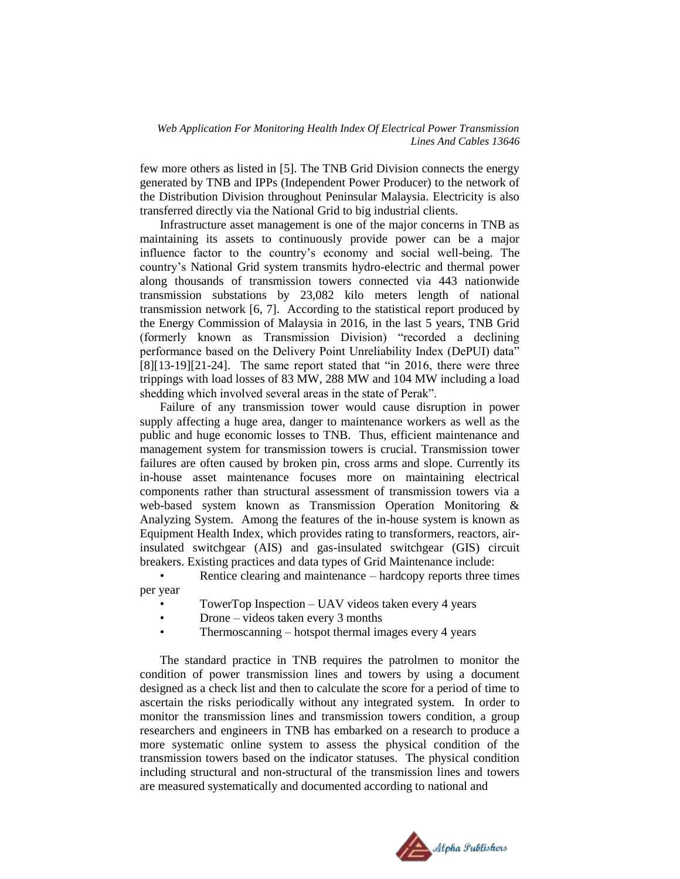few more others as listed in [5]. The TNB Grid Division connects the energy generated by TNB and IPPs (Independent Power Producer) to the network of the Distribution Division throughout Peninsular Malaysia. Electricity is also transferred directly via the National Grid to big industrial clients.

Infrastructure asset management is one of the major concerns in TNB as maintaining its assets to continuously provide power can be a major influence factor to the country's economy and social well-being. The country's National Grid system transmits hydro-electric and thermal power along thousands of transmission towers connected via 443 nationwide transmission substations by 23,082 kilo meters length of national transmission network [6, 7]. According to the statistical report produced by the Energy Commission of Malaysia in 2016, in the last 5 years, TNB Grid (formerly known as Transmission Division) "recorded a declining performance based on the Delivery Point Unreliability Index (DePUI) data"  $[8][13-19][21-24]$ . The same report stated that "in 2016, there were three trippings with load losses of 83 MW, 288 MW and 104 MW including a load shedding which involved several areas in the state of Perak".

Failure of any transmission tower would cause disruption in power supply affecting a huge area, danger to maintenance workers as well as the public and huge economic losses to TNB. Thus, efficient maintenance and management system for transmission towers is crucial. Transmission tower failures are often caused by broken pin, cross arms and slope. Currently its in-house asset maintenance focuses more on maintaining electrical components rather than structural assessment of transmission towers via a web-based system known as Transmission Operation Monitoring & Analyzing System. Among the features of the in-house system is known as Equipment Health Index, which provides rating to transformers, reactors, airinsulated switchgear (AIS) and gas-insulated switchgear (GIS) circuit breakers. Existing practices and data types of Grid Maintenance include:

Rentice clearing and maintenance – hardcopy reports three times per year

- TowerTop Inspection UAV videos taken every 4 years
- Drone videos taken every 3 months
- Thermoscanning hotspot thermal images every 4 years

The standard practice in TNB requires the patrolmen to monitor the condition of power transmission lines and towers by using a document designed as a check list and then to calculate the score for a period of time to ascertain the risks periodically without any integrated system. In order to monitor the transmission lines and transmission towers condition, a group researchers and engineers in TNB has embarked on a research to produce a more systematic online system to assess the physical condition of the transmission towers based on the indicator statuses. The physical condition including structural and non-structural of the transmission lines and towers are measured systematically and documented according to national and

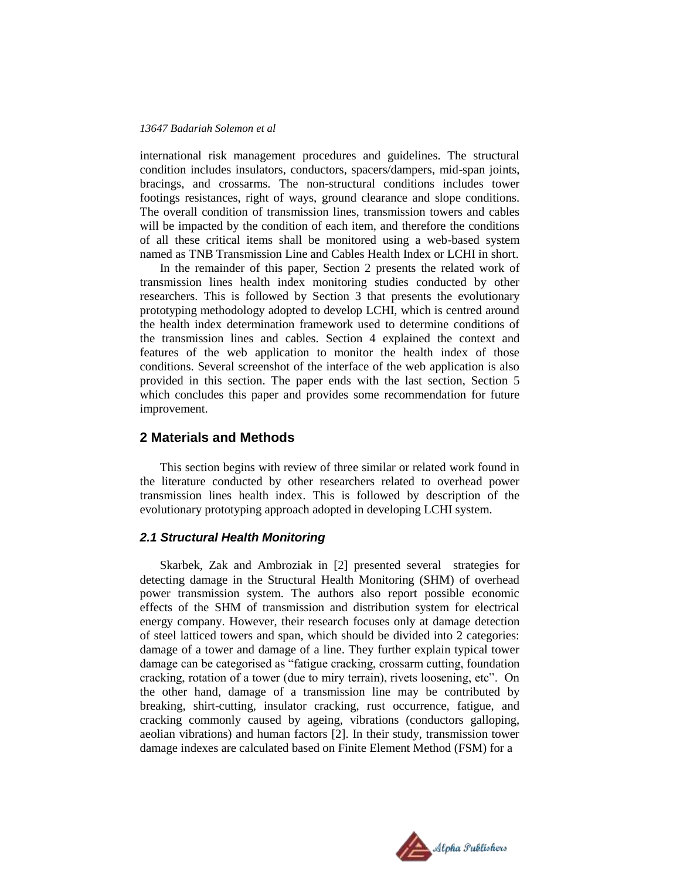international risk management procedures and guidelines. The structural condition includes insulators, conductors, spacers/dampers, mid-span joints, bracings, and crossarms. The non-structural conditions includes tower footings resistances, right of ways, ground clearance and slope conditions. The overall condition of transmission lines, transmission towers and cables will be impacted by the condition of each item, and therefore the conditions of all these critical items shall be monitored using a web-based system named as TNB Transmission Line and Cables Health Index or LCHI in short.

In the remainder of this paper, Section 2 presents the related work of transmission lines health index monitoring studies conducted by other researchers. This is followed by Section 3 that presents the evolutionary prototyping methodology adopted to develop LCHI, which is centred around the health index determination framework used to determine conditions of the transmission lines and cables. Section 4 explained the context and features of the web application to monitor the health index of those conditions. Several screenshot of the interface of the web application is also provided in this section. The paper ends with the last section, Section 5 which concludes this paper and provides some recommendation for future improvement.

#### **2 Materials and Methods**

This section begins with review of three similar or related work found in the literature conducted by other researchers related to overhead power transmission lines health index. This is followed by description of the evolutionary prototyping approach adopted in developing LCHI system.

#### *2.1 Structural Health Monitoring*

Skarbek, Zak and Ambroziak in [2] presented several strategies for detecting damage in the Structural Health Monitoring (SHM) of overhead power transmission system. The authors also report possible economic effects of the SHM of transmission and distribution system for electrical energy company. However, their research focuses only at damage detection of steel latticed towers and span, which should be divided into 2 categories: damage of a tower and damage of a line. They further explain typical tower damage can be categorised as "fatigue cracking, crossarm cutting, foundation cracking, rotation of a tower (due to miry terrain), rivets loosening, etc". On the other hand, damage of a transmission line may be contributed by breaking, shirt-cutting, insulator cracking, rust occurrence, fatigue, and cracking commonly caused by ageing, vibrations (conductors galloping, aeolian vibrations) and human factors [2]. In their study, transmission tower damage indexes are calculated based on Finite Element Method (FSM) for a

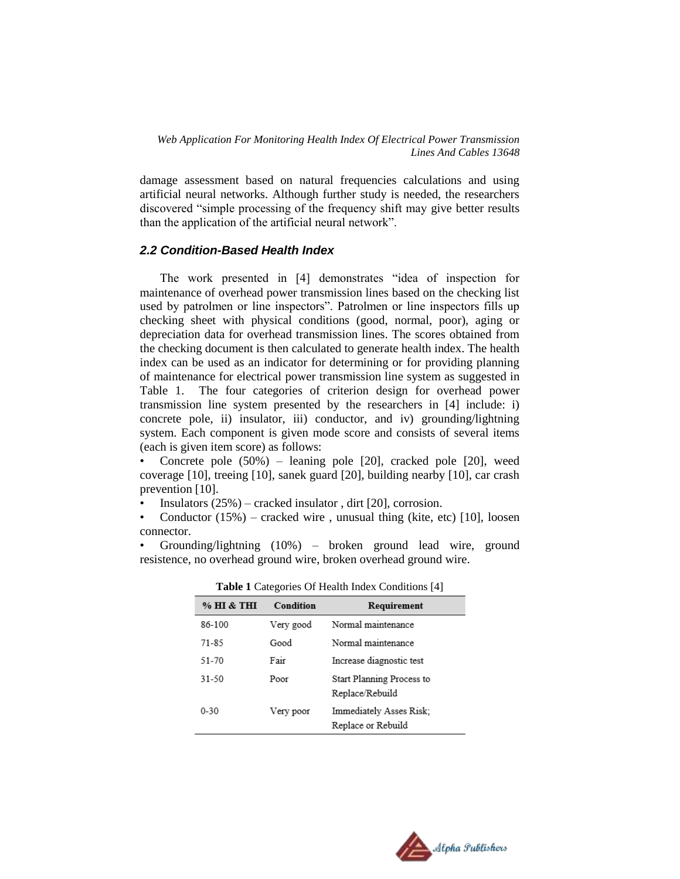damage assessment based on natural frequencies calculations and using artificial neural networks. Although further study is needed, the researchers discovered "simple processing of the frequency shift may give better results than the application of the artificial neural network".

#### *2.2 Condition-Based Health Index*

The work presented in [4] demonstrates "idea of inspection for maintenance of overhead power transmission lines based on the checking list used by patrolmen or line inspectors". Patrolmen or line inspectors fills up checking sheet with physical conditions (good, normal, poor), aging or depreciation data for overhead transmission lines. The scores obtained from the checking document is then calculated to generate health index. The health index can be used as an indicator for determining or for providing planning of maintenance for electrical power transmission line system as suggested in Table 1. The four categories of criterion design for overhead power transmission line system presented by the researchers in [4] include: i) concrete pole, ii) insulator, iii) conductor, and iv) grounding/lightning system. Each component is given mode score and consists of several items (each is given item score) as follows:

• Concrete pole (50%) – leaning pole [20], cracked pole [20], weed coverage [10], treeing [10], sanek guard [20], building nearby [10], car crash prevention [10].

Insulators  $(25%)$  – cracked insulator, dirt [20], corrosion.

• Conductor  $(15%)$  – cracked wire, unusual thing (kite, etc) [10], loosen connector.

• Grounding/lightning (10%) – broken ground lead wire, ground resistence, no overhead ground wire, broken overhead ground wire.

| % HI & THI | Condition | Requirement                                   |
|------------|-----------|-----------------------------------------------|
| 86-100     | Very good | Normal maintenance                            |
| $71 - 85$  | Good      | Normal maintenance                            |
| 51-70      | Fair      | Increase diagnostic test                      |
| 31-50      | Poor      | Start Planning Process to<br>Replace/Rebuild  |
| $0 - 30$   | Very poor | Immediately Asses Risk:<br>Replace or Rebuild |

**Table 1** Categories Of Health Index Conditions [4]

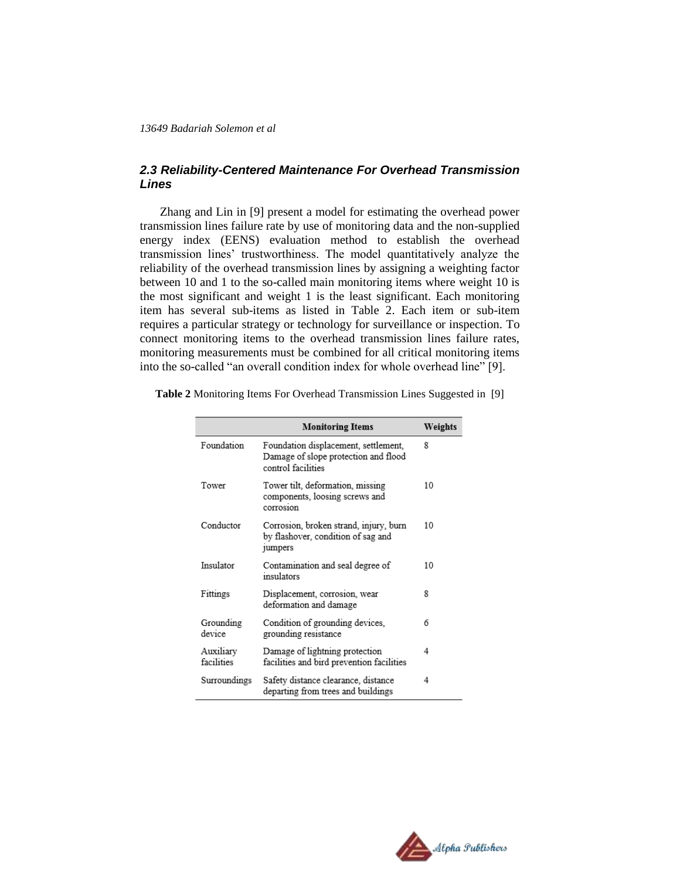#### *2.3 Reliability-Centered Maintenance For Overhead Transmission Lines*

Zhang and Lin in [9] present a model for estimating the overhead power transmission lines failure rate by use of monitoring data and the non-supplied energy index (EENS) evaluation method to establish the overhead transmission lines' trustworthiness. The model quantitatively analyze the reliability of the overhead transmission lines by assigning a weighting factor between 10 and 1 to the so-called main monitoring items where weight 10 is the most significant and weight 1 is the least significant. Each monitoring item has several sub-items as listed in Table 2. Each item or sub-item requires a particular strategy or technology for surveillance or inspection. To connect monitoring items to the overhead transmission lines failure rates, monitoring measurements must be combined for all critical monitoring items into the so-called "an overall condition index for whole overhead line" [9].

|                         | <b>Monitoring Items</b>                                                                            | Weights |
|-------------------------|----------------------------------------------------------------------------------------------------|---------|
| Foundation              | Foundation displacement, settlement,<br>Damage of slope protection and flood<br>control facilities | 8       |
| Tower                   | Tower tilt, deformation, missing<br>components, loosing screws and<br>corrosion                    | 10      |
| Conductor               | Corrosion, broken strand, injury, burn<br>by flashover, condition of sag and<br><sub>jumpers</sub> | 10      |
| Insulator               | Contamination and seal degree of<br>insulators                                                     | 10      |
| Fittings                | Displacement, corrosion, wear<br>deformation and damage                                            | 8       |
| Grounding<br>device     | Condition of grounding devices,<br>grounding resistance                                            | 6       |
| Auxiliary<br>facilities | Damage of lightning protection<br>facilities and bird prevention facilities                        | 4       |
| Surroundings            | Safety distance clearance, distance<br>departing from trees and buildings                          | 4       |

**Table 2** Monitoring Items For Overhead Transmission Lines Suggested in [9]

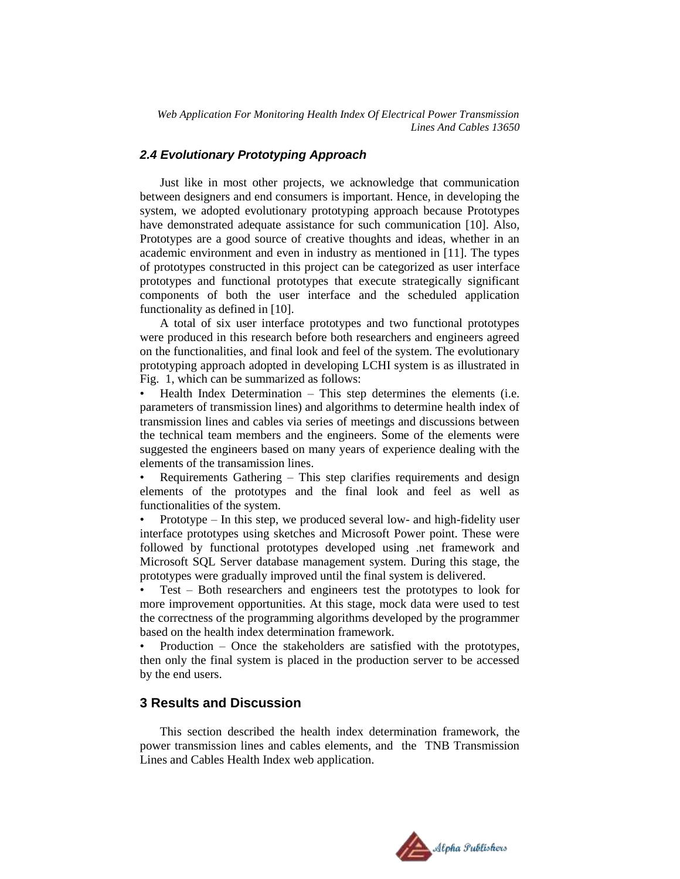#### *2.4 Evolutionary Prototyping Approach*

Just like in most other projects, we acknowledge that communication between designers and end consumers is important. Hence, in developing the system, we adopted evolutionary prototyping approach because Prototypes have demonstrated adequate assistance for such communication [10]. Also, Prototypes are a good source of creative thoughts and ideas, whether in an academic environment and even in industry as mentioned in [11]. The types of prototypes constructed in this project can be categorized as user interface prototypes and functional prototypes that execute strategically significant components of both the user interface and the scheduled application functionality as defined in [10].

A total of six user interface prototypes and two functional prototypes were produced in this research before both researchers and engineers agreed on the functionalities, and final look and feel of the system. The evolutionary prototyping approach adopted in developing LCHI system is as illustrated in Fig. 1, which can be summarized as follows:

• Health Index Determination – This step determines the elements (i.e. parameters of transmission lines) and algorithms to determine health index of transmission lines and cables via series of meetings and discussions between the technical team members and the engineers. Some of the elements were suggested the engineers based on many years of experience dealing with the elements of the transamission lines.

• Requirements Gathering – This step clarifies requirements and design elements of the prototypes and the final look and feel as well as functionalities of the system.

• Prototype – In this step, we produced several low- and high-fidelity user interface prototypes using sketches and Microsoft Power point. These were followed by functional prototypes developed using .net framework and Microsoft SQL Server database management system. During this stage, the prototypes were gradually improved until the final system is delivered.

• Test – Both researchers and engineers test the prototypes to look for more improvement opportunities. At this stage, mock data were used to test the correctness of the programming algorithms developed by the programmer based on the health index determination framework.

• Production – Once the stakeholders are satisfied with the prototypes, then only the final system is placed in the production server to be accessed by the end users.

## **3 Results and Discussion**

This section described the health index determination framework, the power transmission lines and cables elements, and the TNB Transmission Lines and Cables Health Index web application.

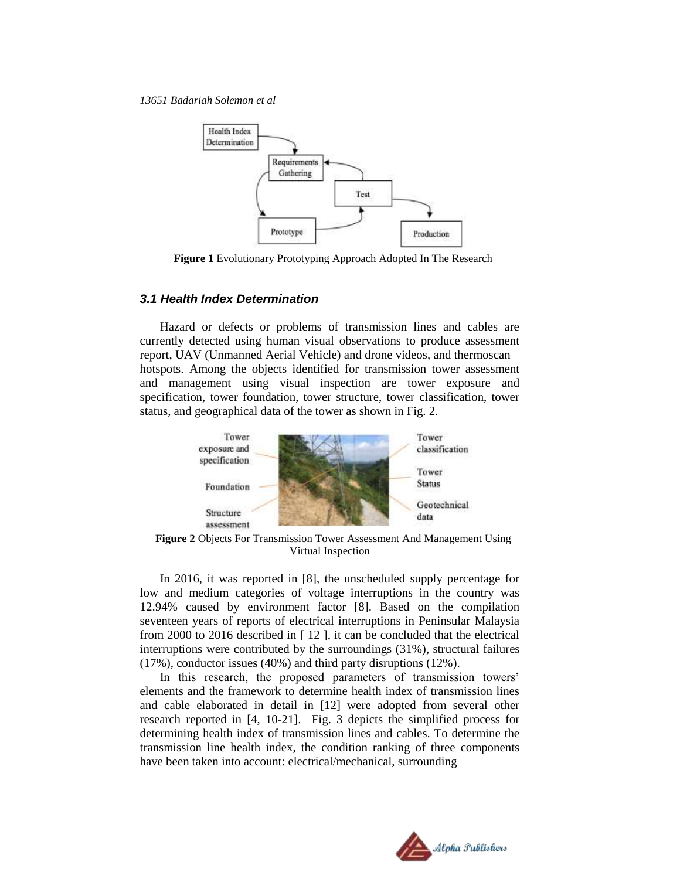

**Figure 1** Evolutionary Prototyping Approach Adopted In The Research

#### *3.1 Health Index Determination*

Hazard or defects or problems of transmission lines and cables are currently detected using human visual observations to produce assessment report, UAV (Unmanned Aerial Vehicle) and drone videos, and thermoscan hotspots. Among the objects identified for transmission tower assessment and management using visual inspection are tower exposure and specification, tower foundation, tower structure, tower classification, tower status, and geographical data of the tower as shown in Fig. 2.



**Figure 2** Objects For Transmission Tower Assessment And Management Using Virtual Inspection

In 2016, it was reported in [8], the unscheduled supply percentage for low and medium categories of voltage interruptions in the country was 12.94% caused by environment factor [8]. Based on the compilation seventeen years of reports of electrical interruptions in Peninsular Malaysia from 2000 to 2016 described in [ 12 ], it can be concluded that the electrical interruptions were contributed by the surroundings (31%), structural failures (17%), conductor issues (40%) and third party disruptions (12%).

In this research, the proposed parameters of transmission towers' elements and the framework to determine health index of transmission lines and cable elaborated in detail in [12] were adopted from several other research reported in [4, 10-21]. Fig. 3 depicts the simplified process for determining health index of transmission lines and cables. To determine the transmission line health index, the condition ranking of three components have been taken into account: electrical/mechanical, surrounding

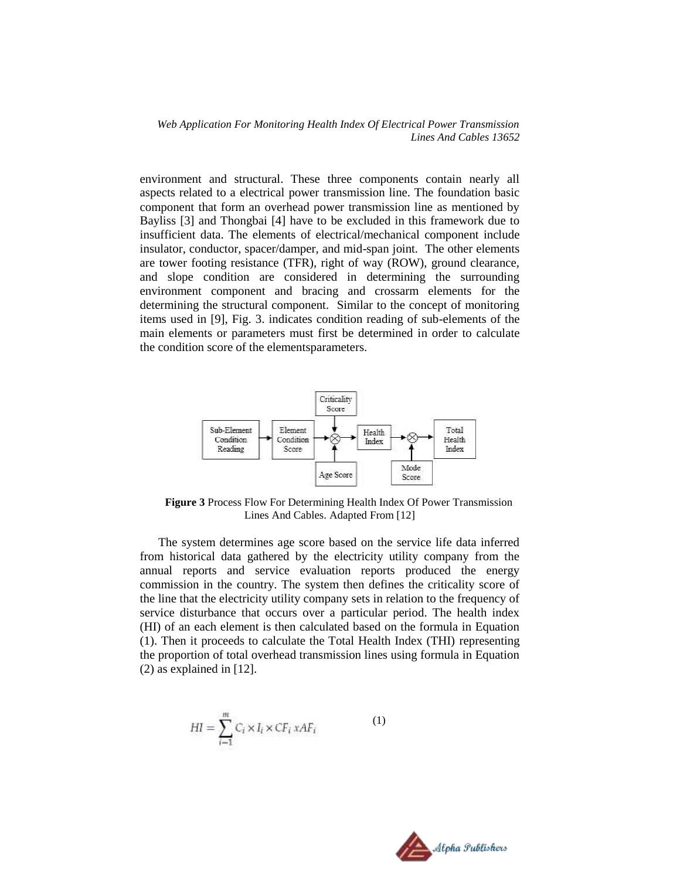environment and structural. These three components contain nearly all aspects related to a electrical power transmission line. The foundation basic component that form an overhead power transmission line as mentioned by Bayliss [3] and Thongbai [4] have to be excluded in this framework due to insufficient data. The elements of electrical/mechanical component include insulator, conductor, spacer/damper, and mid-span joint. The other elements are tower footing resistance (TFR), right of way (ROW), ground clearance, and slope condition are considered in determining the surrounding environment component and bracing and crossarm elements for the determining the structural component. Similar to the concept of monitoring items used in [9], Fig. 3. indicates condition reading of sub-elements of the main elements or parameters must first be determined in order to calculate the condition score of the elementsparameters.



**Figure 3** Process Flow For Determining Health Index Of Power Transmission Lines And Cables. Adapted From [12]

The system determines age score based on the service life data inferred from historical data gathered by the electricity utility company from the annual reports and service evaluation reports produced the energy commission in the country. The system then defines the criticality score of the line that the electricity utility company sets in relation to the frequency of service disturbance that occurs over a particular period. The health index (HI) of an each element is then calculated based on the formula in Equation (1). Then it proceeds to calculate the Total Health Index (THI) representing the proportion of total overhead transmission lines using formula in Equation (2) as explained in [12].

$$
HI = \sum_{i=1}^{m} C_i \times I_i \times CF_i \times AF_i \tag{1}
$$

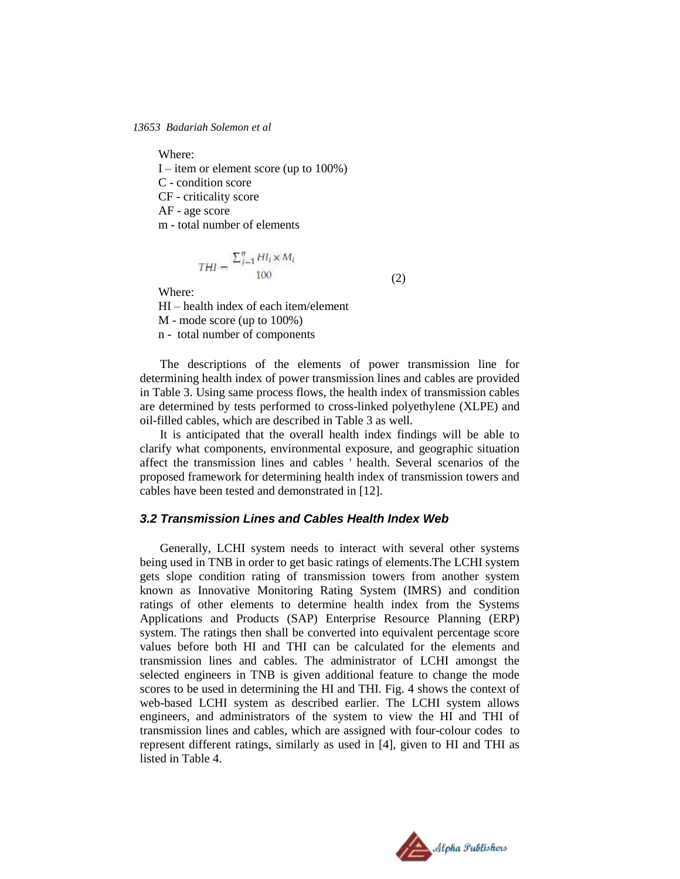Where:

I – item or element score (up to 100%)

C - condition score

CF - criticality score

AF - age score

m - total number of elements

$$
THI = \frac{\sum_{i=1}^{n} HI_i \times M_i}{100}
$$

Where:

HI – health index of each item/element M - mode score (up to 100%) n - total number of components

The descriptions of the elements of power transmission line for determining health index of power transmission lines and cables are provided in Table 3. Using same process flows, the health index of transmission cables are determined by tests performed to cross-linked polyethylene (XLPE) and oil-filled cables, which are described in Table 3 as well.

(2)

It is anticipated that the overall health index findings will be able to clarify what components, environmental exposure, and geographic situation affect the transmission lines and cables ' health. Several scenarios of the proposed framework for determining health index of transmission towers and cables have been tested and demonstrated in [12].

#### *3.2 Transmission Lines and Cables Health Index Web*

Generally, LCHI system needs to interact with several other systems being used in TNB in order to get basic ratings of elements.The LCHI system gets slope condition rating of transmission towers from another system known as Innovative Monitoring Rating System (IMRS) and condition ratings of other elements to determine health index from the Systems Applications and Products (SAP) Enterprise Resource Planning (ERP) system. The ratings then shall be converted into equivalent percentage score values before both HI and THI can be calculated for the elements and transmission lines and cables. The administrator of LCHI amongst the selected engineers in TNB is given additional feature to change the mode scores to be used in determining the HI and THI. Fig. 4 shows the context of web-based LCHI system as described earlier. The LCHI system allows engineers, and administrators of the system to view the HI and THI of transmission lines and cables, which are assigned with four-colour codes to represent different ratings, similarly as used in [4], given to HI and THI as listed in Table 4.

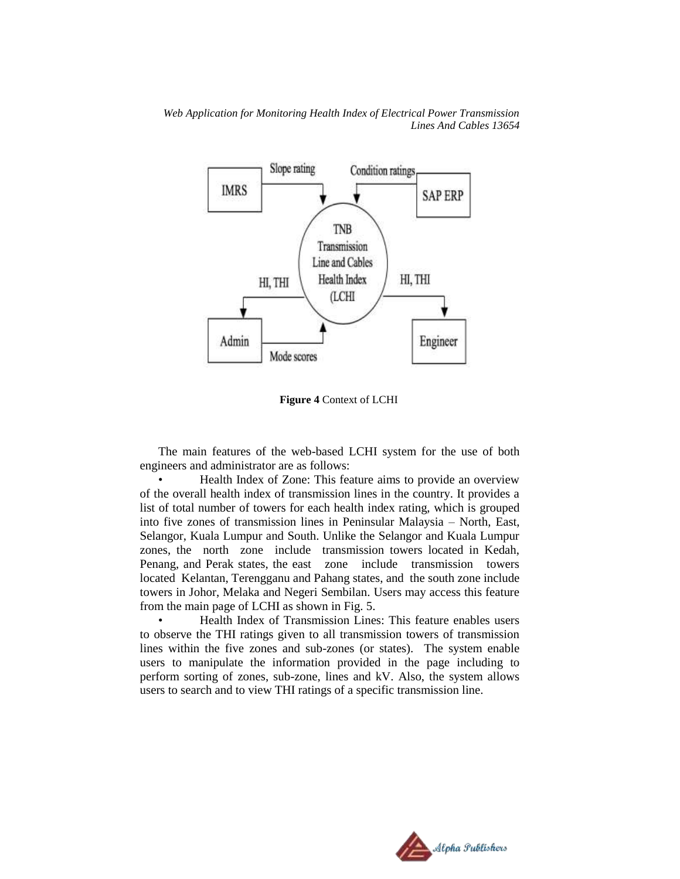

**Figure 4** Context of LCHI

The main features of the web-based LCHI system for the use of both engineers and administrator are as follows:

• Health Index of Zone: This feature aims to provide an overview of the overall health index of transmission lines in the country. It provides a list of total number of towers for each health index rating, which is grouped into five zones of transmission lines in Peninsular Malaysia – North, East, Selangor, Kuala Lumpur and South. Unlike the Selangor and Kuala Lumpur zones, the north zone include transmission towers located in Kedah, Penang, and Perak states, the east zone include transmission towers located Kelantan, Terengganu and Pahang states, and the south zone include towers in Johor, Melaka and Negeri Sembilan. Users may access this feature from the main page of LCHI as shown in Fig. 5.

• Health Index of Transmission Lines: This feature enables users to observe the THI ratings given to all transmission towers of transmission lines within the five zones and sub-zones (or states). The system enable users to manipulate the information provided in the page including to perform sorting of zones, sub-zone, lines and kV. Also, the system allows users to search and to view THI ratings of a specific transmission line.

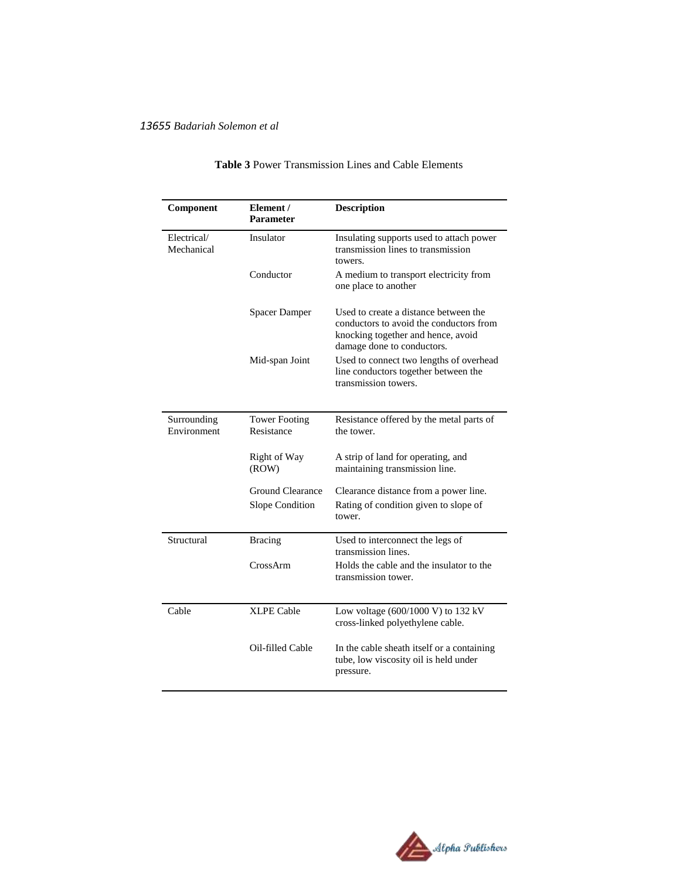| Component                  | Element /<br><b>Parameter</b>      | <b>Description</b>                                                                                                                                   |  |
|----------------------------|------------------------------------|------------------------------------------------------------------------------------------------------------------------------------------------------|--|
| Electrical/<br>Mechanical  | Insulator                          | Insulating supports used to attach power<br>transmission lines to transmission<br>towers.                                                            |  |
|                            | Conductor                          | A medium to transport electricity from<br>one place to another                                                                                       |  |
|                            | <b>Spacer Damper</b>               | Used to create a distance between the<br>conductors to avoid the conductors from<br>knocking together and hence, avoid<br>damage done to conductors. |  |
|                            | Mid-span Joint                     | Used to connect two lengths of overhead<br>line conductors together between the<br>transmission towers.                                              |  |
| Surrounding<br>Environment | <b>Tower Footing</b><br>Resistance | Resistance offered by the metal parts of<br>the tower.                                                                                               |  |
|                            | Right of Way<br>(ROW)              | A strip of land for operating, and<br>maintaining transmission line.                                                                                 |  |
|                            | <b>Ground Clearance</b>            | Clearance distance from a power line.                                                                                                                |  |
|                            | <b>Slope Condition</b>             | Rating of condition given to slope of<br>tower.                                                                                                      |  |
| Structural                 | <b>Bracing</b>                     | Used to interconnect the legs of<br>transmission lines.                                                                                              |  |
|                            | CrossArm                           | Holds the cable and the insulator to the<br>transmission tower.                                                                                      |  |
| Cable                      | <b>XLPE Cable</b>                  | Low voltage (600/1000 V) to 132 kV<br>cross-linked polyethylene cable.                                                                               |  |
|                            | Oil-filled Cable                   | In the cable sheath itself or a containing<br>tube, low viscosity oil is held under<br>pressure.                                                     |  |

## **Table 3** Power Transmission Lines and Cable Elements

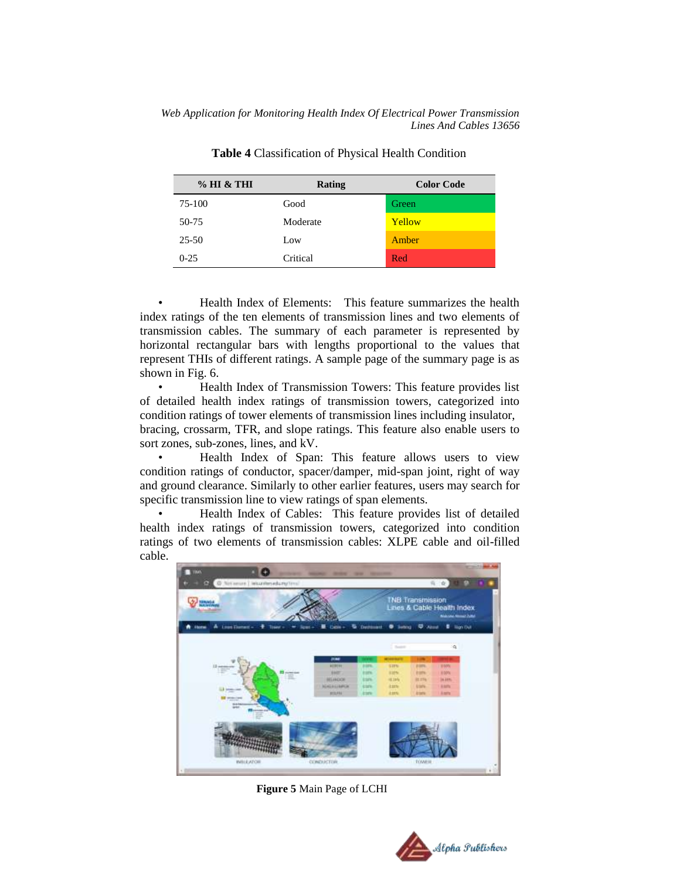| % HI & THI | Rating   | <b>Color Code</b> |
|------------|----------|-------------------|
| 75-100     | Good     | Green             |
| 50-75      | Moderate | Yellow            |
| $25 - 50$  | Low      | Amber             |
| $0-25$     | Critical | Red               |

**Table 4** Classification of Physical Health Condition

• Health Index of Elements: This feature summarizes the health index ratings of the ten elements of transmission lines and two elements of transmission cables. The summary of each parameter is represented by horizontal rectangular bars with lengths proportional to the values that represent THIs of different ratings. A sample page of the summary page is as shown in Fig. 6.

• Health Index of Transmission Towers: This feature provides list of detailed health index ratings of transmission towers, categorized into condition ratings of tower elements of transmission lines including insulator, bracing, crossarm, TFR, and slope ratings. This feature also enable users to sort zones, sub-zones, lines, and kV.

• Health Index of Span: This feature allows users to view condition ratings of conductor, spacer/damper, mid-span joint, right of way and ground clearance. Similarly to other earlier features, users may search for specific transmission line to view ratings of span elements.

• Health Index of Cables: This feature provides list of detailed health index ratings of transmission towers, categorized into condition ratings of two elements of transmission cables: XLPE cable and oil-filled cable.

![](_page_12_Picture_7.jpeg)

 **Figure 5** Main Page of LCHI

![](_page_12_Picture_9.jpeg)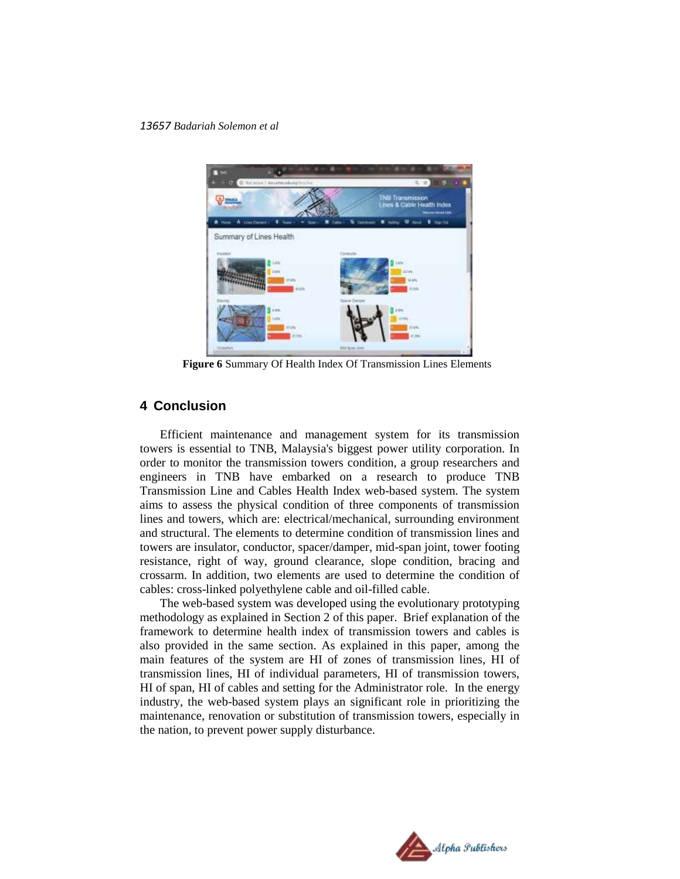![](_page_13_Picture_1.jpeg)

**Figure 6** Summary Of Health Index Of Transmission Lines Elements

## **4 Conclusion**

Efficient maintenance and management system for its transmission towers is essential to TNB, Malaysia's biggest power utility corporation. In order to monitor the transmission towers condition, a group researchers and engineers in TNB have embarked on a research to produce TNB Transmission Line and Cables Health Index web-based system. The system aims to assess the physical condition of three components of transmission lines and towers, which are: electrical/mechanical, surrounding environment and structural. The elements to determine condition of transmission lines and towers are insulator, conductor, spacer/damper, mid-span joint, tower footing resistance, right of way, ground clearance, slope condition, bracing and crossarm. In addition, two elements are used to determine the condition of cables: cross-linked polyethylene cable and oil-filled cable.

The web-based system was developed using the evolutionary prototyping methodology as explained in Section 2 of this paper. Brief explanation of the framework to determine health index of transmission towers and cables is also provided in the same section. As explained in this paper, among the main features of the system are HI of zones of transmission lines, HI of transmission lines, HI of individual parameters, HI of transmission towers, HI of span, HI of cables and setting for the Administrator role. In the energy industry, the web-based system plays an significant role in prioritizing the maintenance, renovation or substitution of transmission towers, especially in the nation, to prevent power supply disturbance.

![](_page_13_Picture_6.jpeg)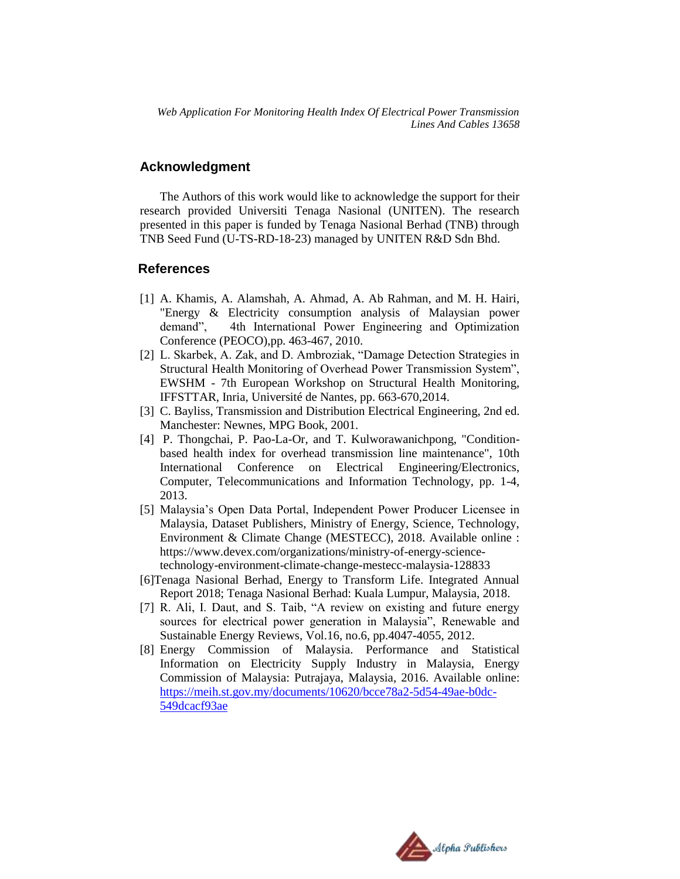### **Acknowledgment**

The Authors of this work would like to acknowledge the support for their research provided Universiti Tenaga Nasional (UNITEN). The research presented in this paper is funded by Tenaga Nasional Berhad (TNB) through TNB Seed Fund (U-TS-RD-18-23) managed by UNITEN R&D Sdn Bhd.

### **References**

- [1] A. Khamis, A. Alamshah, A. Ahmad, A. Ab Rahman, and M. H. Hairi, "Energy & Electricity consumption analysis of Malaysian power demand", 4th International Power Engineering and Optimization Conference (PEOCO),pp. 463-467, 2010.
- [2] L. Skarbek, A. Zak, and D. Ambroziak, "Damage Detection Strategies in Structural Health Monitoring of Overhead Power Transmission System", EWSHM - 7th European Workshop on Structural Health Monitoring, IFFSTTAR, Inria, Université de Nantes, pp. 663-670,2014.
- [3] C. Bayliss, Transmission and Distribution Electrical Engineering, 2nd ed. Manchester: Newnes, MPG Book, 2001.
- [4] P. Thongchai, P. Pao-La-Or, and T. Kulworawanichpong, "Conditionbased health index for overhead transmission line maintenance", 10th International Conference on Electrical Engineering/Electronics, Computer, Telecommunications and Information Technology, pp. 1-4, 2013.
- [5] Malaysia's Open Data Portal, Independent Power Producer Licensee in Malaysia, Dataset Publishers, Ministry of Energy, Science, Technology, Environment & Climate Change (MESTECC), 2018. Available online : https://www.devex.com/organizations/ministry-of-energy-sciencetechnology-environment-climate-change-mestecc-malaysia-128833
- [6]Tenaga Nasional Berhad, Energy to Transform Life. Integrated Annual Report 2018; Tenaga Nasional Berhad: Kuala Lumpur, Malaysia, 2018.
- [7] R. Ali, I. Daut, and S. Taib, "A review on existing and future energy sources for electrical power generation in Malaysia", Renewable and Sustainable Energy Reviews, Vol.16, no.6, pp.4047-4055, 2012.
- [8] Energy Commission of Malaysia. Performance and Statistical Information on Electricity Supply Industry in Malaysia, Energy Commission of Malaysia: Putrajaya, Malaysia, 2016. Available online: [https://meih.st.gov.my/documents/10620/bcce78a2-5d54-49ae-b0dc-](https://meih.st.gov.my/documents/10620/bcce78a2-5d54-49ae-b0dc-549dcacf93ae)[549dcacf93ae](https://meih.st.gov.my/documents/10620/bcce78a2-5d54-49ae-b0dc-549dcacf93ae)

![](_page_14_Picture_12.jpeg)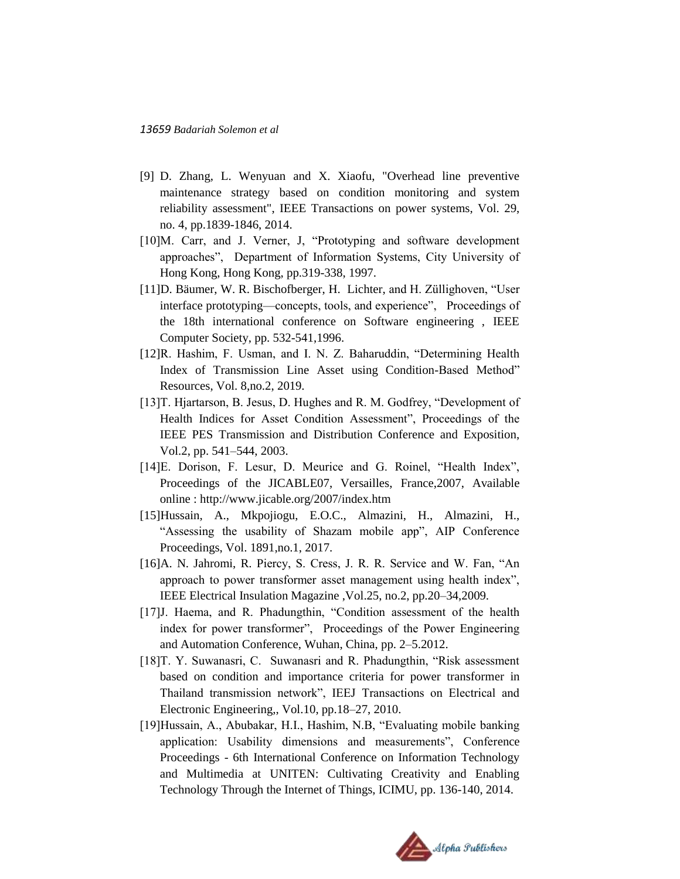- [9] D. Zhang, L. Wenyuan and X. Xiaofu, "Overhead line preventive maintenance strategy based on condition monitoring and system reliability assessment", IEEE Transactions on power systems, Vol. 29, no. 4, pp.1839-1846, 2014.
- [10]M. Carr, and J. Verner, J. "Prototyping and software development approaches", Department of Information Systems, City University of Hong Kong, Hong Kong, pp.319-338, 1997.
- [11]D. Bäumer, W. R. Bischofberger, H. Lichter, and H. Züllighoven, "User interface prototyping—concepts, tools, and experience", Proceedings of the 18th international conference on Software engineering , IEEE Computer Society, pp. 532-541,1996.
- [12]R. Hashim, F. Usman, and I. N. Z. Baharuddin, "Determining Health Index of Transmission Line Asset using Condition-Based Method" Resources, Vol. 8,no.2, 2019.
- [13] T. Hjartarson, B. Jesus, D. Hughes and R. M. Godfrey, "Development of Health Indices for Asset Condition Assessment", Proceedings of the IEEE PES Transmission and Distribution Conference and Exposition, Vol.2, pp. 541–544, 2003.
- [14]E. Dorison, F. Lesur, D. Meurice and G. Roinel, "Health Index", Proceedings of the JICABLE07, Versailles, France,2007, Available online : http://www.jicable.org/2007/index.htm
- [15]Hussain, A., Mkpojiogu, E.O.C., Almazini, H., Almazini, H., "Assessing the usability of Shazam mobile app", AIP Conference Proceedings, Vol. 1891,no.1, 2017.
- [16]A. N. Jahromi, R. Piercy, S. Cress, J. R. R. Service and W. Fan, "An approach to power transformer asset management using health index", IEEE Electrical Insulation Magazine ,Vol.25, no.2, pp.20–34,2009.
- [17] J. Haema, and R. Phadungthin, "Condition assessment of the health index for power transformer", Proceedings of the Power Engineering and Automation Conference, Wuhan, China, pp. 2–5.2012.
- [18]T. Y. Suwanasri, C. Suwanasri and R. Phadungthin, "Risk assessment based on condition and importance criteria for power transformer in Thailand transmission network", IEEJ Transactions on Electrical and Electronic Engineering,, Vol.10, pp.18–27, 2010.
- [19]Hussain, A., Abubakar, H.I., Hashim, N.B, "Evaluating mobile banking application: Usability dimensions and measurements", Conference Proceedings - 6th International Conference on Information Technology and Multimedia at UNITEN: Cultivating Creativity and Enabling Technology Through the Internet of Things, ICIMU, pp. 136-140, 2014.

![](_page_15_Picture_12.jpeg)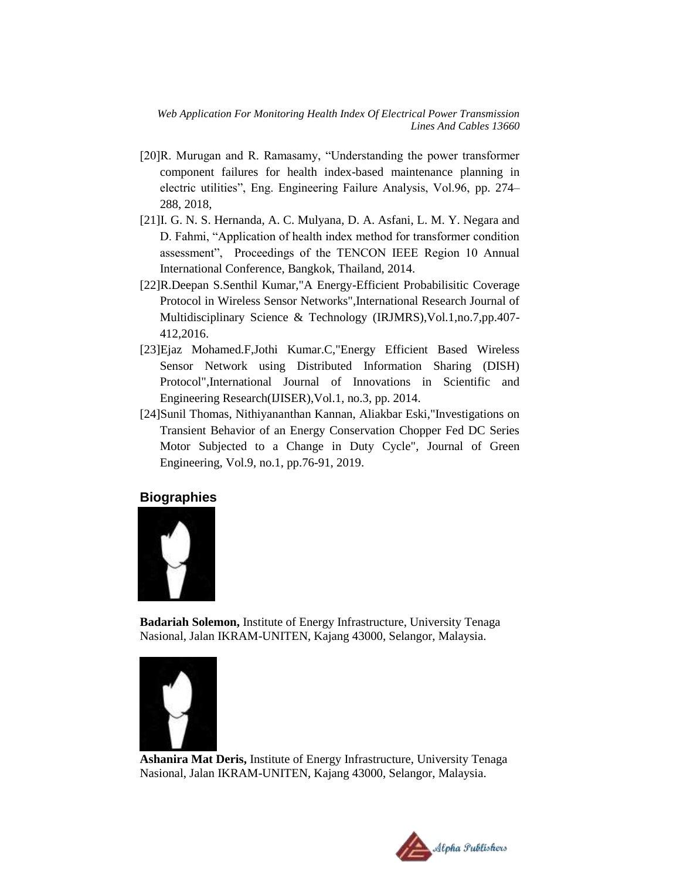- [20]R. Murugan and R. Ramasamy, "Understanding the power transformer component failures for health index-based maintenance planning in electric utilities", Eng. Engineering Failure Analysis, Vol.96, pp. 274– 288, 2018,
- [21]I. G. N. S. Hernanda, A. C. Mulyana, D. A. Asfani, L. M. Y. Negara and D. Fahmi, "Application of health index method for transformer condition assessment", Proceedings of the TENCON IEEE Region 10 Annual International Conference, Bangkok, Thailand, 2014.
- [22]R.Deepan S.Senthil Kumar,"A Energy-Efficient Probabilisitic Coverage Protocol in Wireless Sensor Networks",International Research Journal of Multidisciplinary Science & Technology (IRJMRS),Vol.1,no.7,pp.407- 412,2016.
- [23]Ejaz Mohamed.F,Jothi Kumar.C,"Energy Efficient Based Wireless Sensor Network using Distributed Information Sharing (DISH) Protocol",International Journal of Innovations in Scientific and Engineering Research(IJISER),Vol.1, no.3, pp. 2014.
- [24]Sunil Thomas, Nithiyananthan Kannan, Aliakbar Eski,"Investigations on Transient Behavior of an Energy Conservation Chopper Fed DC Series Motor Subjected to a Change in Duty Cycle", Journal of Green Engineering, Vol.9, no.1, pp.76-91, 2019.

#### **Biographies**

![](_page_16_Picture_7.jpeg)

**Badariah Solemon,** Institute of Energy Infrastructure, University Tenaga Nasional, Jalan IKRAM-UNITEN, Kajang 43000, Selangor, Malaysia.

![](_page_16_Picture_9.jpeg)

**Ashanira Mat Deris,** Institute of Energy Infrastructure, University Tenaga Nasional, Jalan IKRAM-UNITEN, Kajang 43000, Selangor, Malaysia.

![](_page_16_Picture_11.jpeg)